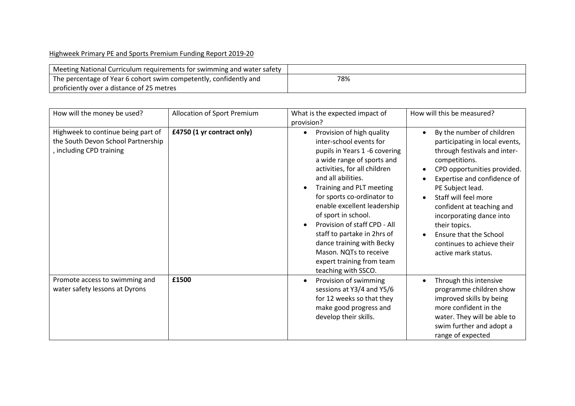## Highweek Primary PE and Sports Premium Funding Report 2019-20

| Meeting National Curriculum requirements for swimming and water safety |     |
|------------------------------------------------------------------------|-----|
| The percentage of Year 6 cohort swim competently, confidently and      | 78% |
| proficiently over a distance of 25 metres                              |     |

| How will the money be used?                                                                          | Allocation of Sport Premium | What is the expected impact of                                                                                                                                                                                                                                                                                                                                                                                                                                                    | How will this be measured?                                                                                                                                                                                                                                                                                                                                                      |
|------------------------------------------------------------------------------------------------------|-----------------------------|-----------------------------------------------------------------------------------------------------------------------------------------------------------------------------------------------------------------------------------------------------------------------------------------------------------------------------------------------------------------------------------------------------------------------------------------------------------------------------------|---------------------------------------------------------------------------------------------------------------------------------------------------------------------------------------------------------------------------------------------------------------------------------------------------------------------------------------------------------------------------------|
| Highweek to continue being part of<br>the South Devon School Partnership<br>, including CPD training | £4750 (1 yr contract only)  | provision?<br>Provision of high quality<br>inter-school events for<br>pupils in Years 1 -6 covering<br>a wide range of sports and<br>activities, for all children<br>and all abilities.<br>Training and PLT meeting<br>for sports co-ordinator to<br>enable excellent leadership<br>of sport in school.<br>Provision of staff CPD - All<br>staff to partake in 2hrs of<br>dance training with Becky<br>Mason. NQTs to receive<br>expert training from team<br>teaching with SSCO. | By the number of children<br>participating in local events,<br>through festivals and inter-<br>competitions.<br>CPD opportunities provided.<br>Expertise and confidence of<br>PE Subject lead.<br>Staff will feel more<br>confident at teaching and<br>incorporating dance into<br>their topics.<br>Ensure that the School<br>continues to achieve their<br>active mark status. |
| Promote access to swimming and<br>water safety lessons at Dyrons                                     | £1500                       | Provision of swimming<br>sessions at Y3/4 and Y5/6<br>for 12 weeks so that they<br>make good progress and<br>develop their skills.                                                                                                                                                                                                                                                                                                                                                | Through this intensive<br>programme children show<br>improved skills by being<br>more confident in the<br>water. They will be able to<br>swim further and adopt a<br>range of expected                                                                                                                                                                                          |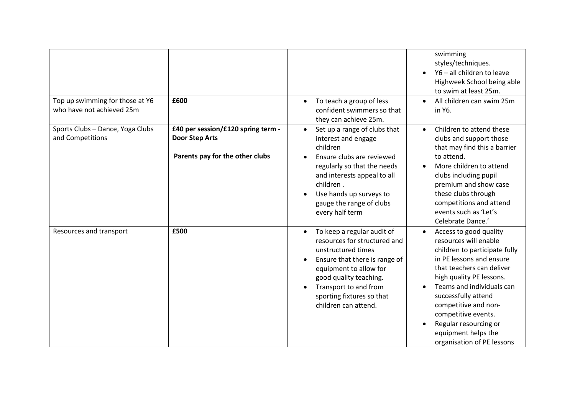|                                                              | £600                                                                                           |                                                                                                                                                                                                                                                                | swimming<br>styles/techniques.<br>Y6 - all children to leave<br>Highweek School being able<br>to swim at least 25m.                                                                                                                                                                                                                                    |
|--------------------------------------------------------------|------------------------------------------------------------------------------------------------|----------------------------------------------------------------------------------------------------------------------------------------------------------------------------------------------------------------------------------------------------------------|--------------------------------------------------------------------------------------------------------------------------------------------------------------------------------------------------------------------------------------------------------------------------------------------------------------------------------------------------------|
| Top up swimming for those at Y6<br>who have not achieved 25m |                                                                                                | To teach a group of less<br>$\bullet$<br>confident swimmers so that<br>they can achieve 25m.                                                                                                                                                                   | All children can swim 25m<br>$\bullet$<br>in Y6.                                                                                                                                                                                                                                                                                                       |
| Sports Clubs - Dance, Yoga Clubs<br>and Competitions         | £40 per session/£120 spring term -<br><b>Door Step Arts</b><br>Parents pay for the other clubs | Set up a range of clubs that<br>$\bullet$<br>interest and engage<br>children<br>Ensure clubs are reviewed<br>regularly so that the needs<br>and interests appeal to all<br>children.<br>Use hands up surveys to<br>gauge the range of clubs<br>every half term | Children to attend these<br>$\bullet$<br>clubs and support those<br>that may find this a barrier<br>to attend.<br>More children to attend<br>clubs including pupil<br>premium and show case<br>these clubs through<br>competitions and attend<br>events such as 'Let's<br>Celebrate Dance.'                                                            |
| Resources and transport                                      | £500                                                                                           | To keep a regular audit of<br>resources for structured and<br>unstructured times<br>Ensure that there is range of<br>equipment to allow for<br>good quality teaching.<br>Transport to and from<br>sporting fixtures so that<br>children can attend.            | Access to good quality<br>resources will enable<br>children to participate fully<br>in PE lessons and ensure<br>that teachers can deliver<br>high quality PE lessons.<br>Teams and individuals can<br>successfully attend<br>competitive and non-<br>competitive events.<br>Regular resourcing or<br>equipment helps the<br>organisation of PE lessons |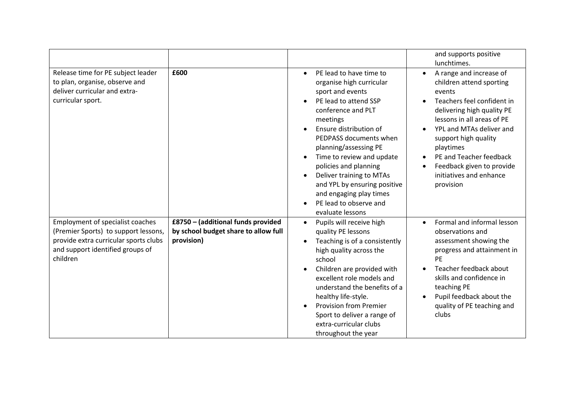|                                                                                                                                                                          |                                                                                          |                                                                                                                                                                                                                                                                                                                                                                                                                         | and supports positive<br>lunchtimes.                                                                                                                                                                                                                                                                                                  |
|--------------------------------------------------------------------------------------------------------------------------------------------------------------------------|------------------------------------------------------------------------------------------|-------------------------------------------------------------------------------------------------------------------------------------------------------------------------------------------------------------------------------------------------------------------------------------------------------------------------------------------------------------------------------------------------------------------------|---------------------------------------------------------------------------------------------------------------------------------------------------------------------------------------------------------------------------------------------------------------------------------------------------------------------------------------|
| Release time for PE subject leader<br>to plan, organise, observe and<br>deliver curricular and extra-<br>curricular sport.                                               | £600                                                                                     | PE lead to have time to<br>$\bullet$<br>organise high curricular<br>sport and events<br>PE lead to attend SSP<br>conference and PLT<br>meetings<br>Ensure distribution of<br>PEDPASS documents when<br>planning/assessing PE<br>Time to review and update<br>policies and planning<br>Deliver training to MTAs<br>and YPL by ensuring positive<br>and engaging play times<br>PE lead to observe and<br>evaluate lessons | A range and increase of<br>$\bullet$<br>children attend sporting<br>events<br>Teachers feel confident in<br>delivering high quality PE<br>lessons in all areas of PE<br>YPL and MTAs deliver and<br>support high quality<br>playtimes<br>PE and Teacher feedback<br>Feedback given to provide<br>initiatives and enhance<br>provision |
| <b>Employment of specialist coaches</b><br>(Premier Sports) to support lessons,<br>provide extra curricular sports clubs<br>and support identified groups of<br>children | £8750 - (additional funds provided<br>by school budget share to allow full<br>provision) | Pupils will receive high<br>$\bullet$<br>quality PE lessons<br>Teaching is of a consistently<br>high quality across the<br>school<br>Children are provided with<br>excellent role models and<br>understand the benefits of a<br>healthy life-style.<br><b>Provision from Premier</b><br>Sport to deliver a range of<br>extra-curricular clubs<br>throughout the year                                                    | Formal and informal lesson<br>observations and<br>assessment showing the<br>progress and attainment in<br>PE<br>Teacher feedback about<br>skills and confidence in<br>teaching PE<br>Pupil feedback about the<br>quality of PE teaching and<br>clubs                                                                                  |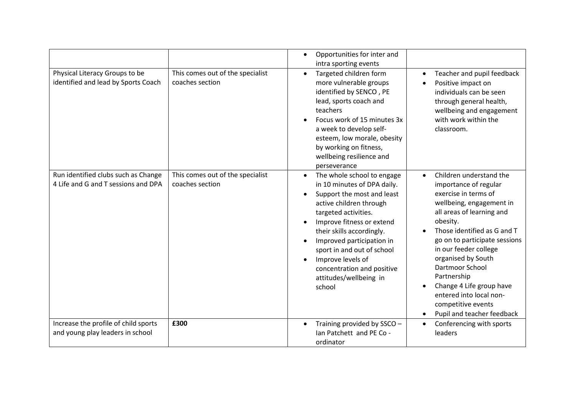|                                                                            |                                                     | Opportunities for inter and<br>intra sporting events                                                                                                                                                                                                                                                                                                   |                                                                                                                                                                                                                                                                                                                                                                                                                  |
|----------------------------------------------------------------------------|-----------------------------------------------------|--------------------------------------------------------------------------------------------------------------------------------------------------------------------------------------------------------------------------------------------------------------------------------------------------------------------------------------------------------|------------------------------------------------------------------------------------------------------------------------------------------------------------------------------------------------------------------------------------------------------------------------------------------------------------------------------------------------------------------------------------------------------------------|
| Physical Literacy Groups to be<br>identified and lead by Sports Coach      | This comes out of the specialist<br>coaches section | Targeted children form<br>more vulnerable groups<br>identified by SENCO, PE<br>lead, sports coach and<br>teachers<br>Focus work of 15 minutes 3x<br>a week to develop self-<br>esteem, low morale, obesity<br>by working on fitness,<br>wellbeing resilience and<br>perseverance                                                                       | Teacher and pupil feedback<br>$\bullet$<br>Positive impact on<br>individuals can be seen<br>through general health,<br>wellbeing and engagement<br>with work within the<br>classroom.                                                                                                                                                                                                                            |
| Run identified clubs such as Change<br>4 Life and G and T sessions and DPA | This comes out of the specialist<br>coaches section | The whole school to engage<br>in 10 minutes of DPA daily.<br>Support the most and least<br>active children through<br>targeted activities.<br>Improve fitness or extend<br>their skills accordingly.<br>Improved participation in<br>sport in and out of school<br>Improve levels of<br>concentration and positive<br>attitudes/wellbeing in<br>school | Children understand the<br>importance of regular<br>exercise in terms of<br>wellbeing, engagement in<br>all areas of learning and<br>obesity.<br>Those identified as G and T<br>go on to participate sessions<br>in our feeder college<br>organised by South<br><b>Dartmoor School</b><br>Partnership<br>Change 4 Life group have<br>entered into local non-<br>competitive events<br>Pupil and teacher feedback |
| Increase the profile of child sports<br>and young play leaders in school   | £300                                                | Training provided by SSCO -<br>Ian Patchett and PE Co -<br>ordinator                                                                                                                                                                                                                                                                                   | Conferencing with sports<br>leaders                                                                                                                                                                                                                                                                                                                                                                              |